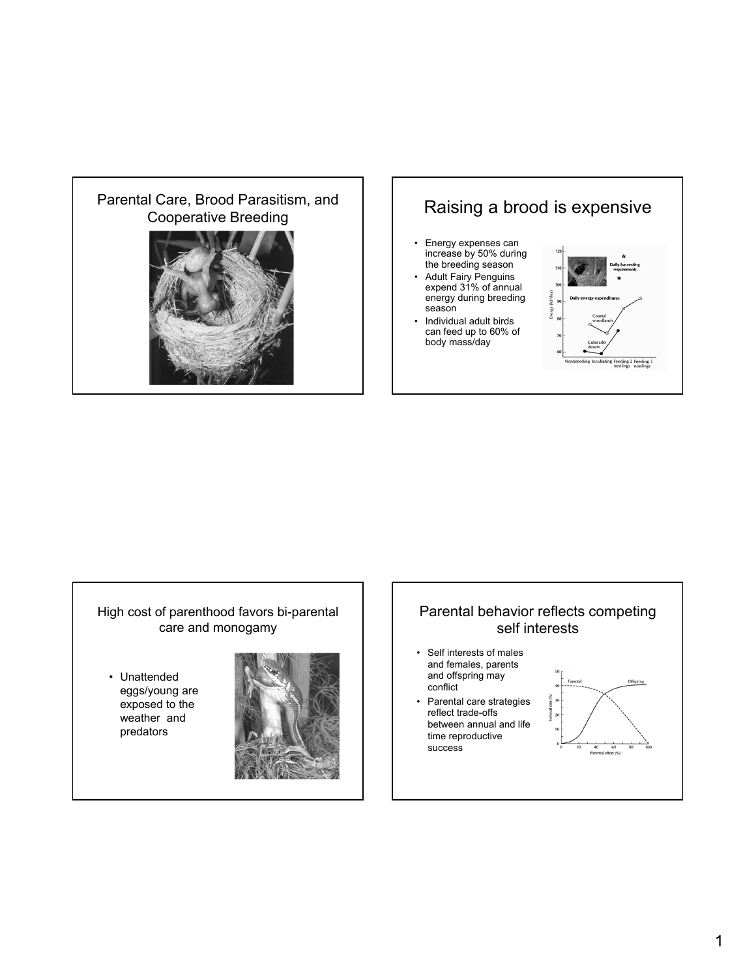# Parental Care, Brood Parasitism, and





### High cost of parenthood favors bi-parental care and monogamy

• Unattended eggs/young are exposed to the weather and predators



# Parental behavior reflects competing self interests

- Self interests of males and females, parents and offspring may conflict
- Parental care strategies reflect trade-offs between annual and life time reproductive success

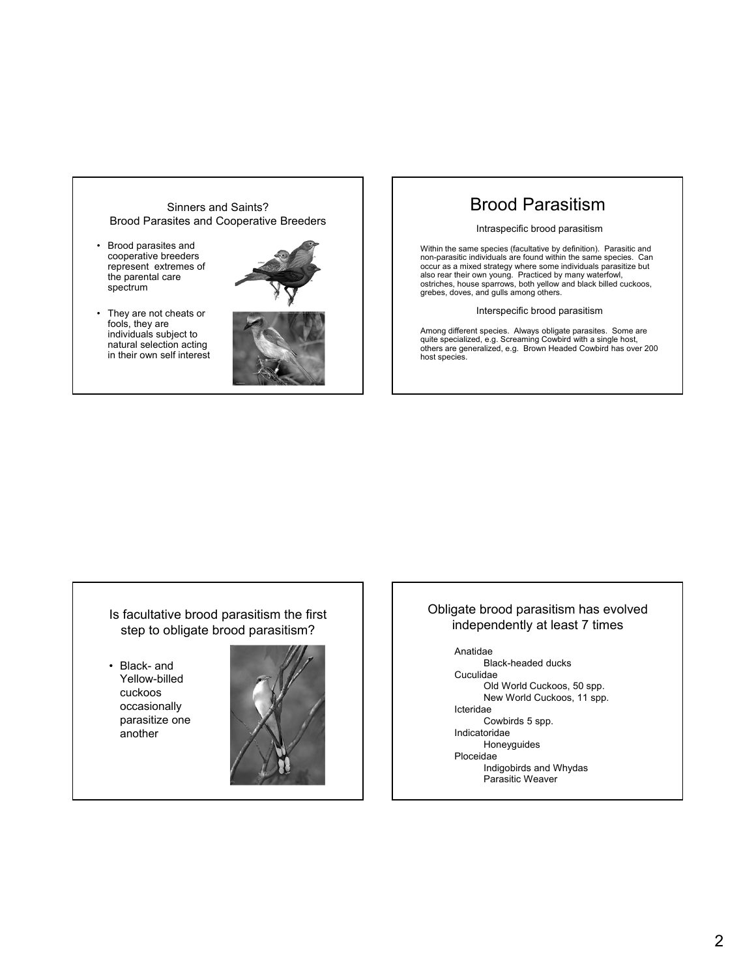### Sinners and Saints? Brood Parasites and Cooperative Breeders

- Brood parasites and cooperative breeders represent extremes of the parental care spectrum
- They are not cheats or fools, they are individuals subject to natural selection acting in their own self interest





# Brood Parasitism

### Intraspecific brood parasitism

Within the same species (facultative by definition). Parasitic and non-parasitic individuals are found within the same species. Can occur as a mixed strategy where some individuals parasitize but<br>also rear their own young. Practiced by many waterfowl,<br>ostriches, house sparrows, both yellow and black billed cuckoos, grebes, doves, and gulls among others.

### Interspecific brood parasitism

Among different species. Always obligate parasites. Some are quite specialized, e.g. Screaming Cowbird with a single host, others are generalized, e.g. Brown Headed Cowbird has over 200 host species.

### Is facultative brood parasitism the first step to obligate brood parasitism?

• Black- and Yellow-billed cuckoos occasionally parasitize one another



### Obligate brood parasitism has evolved independently at least 7 times

Anatidae Black-headed ducks Cuculidae Old World Cuckoos, 50 spp. New World Cuckoos, 11 spp. Icteridae Cowbirds 5 spp. Indicatoridae Honeyguides Ploceidae Indigobirds and Whydas Parasitic Weaver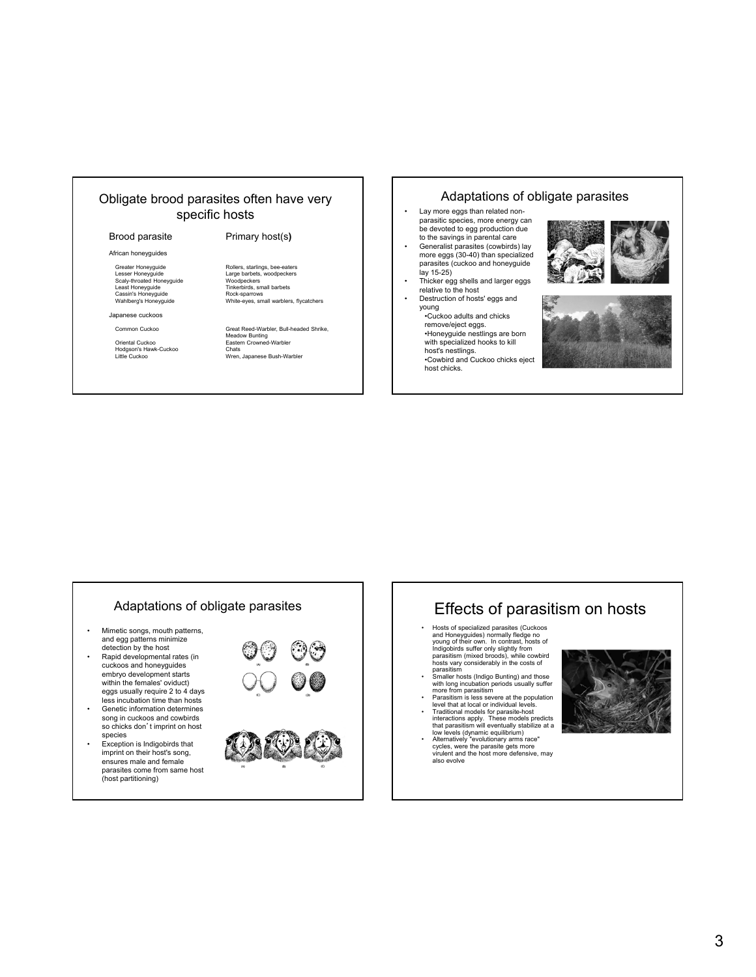### Obligate brood parasites often have very specific hosts

### Brood parasite Primary host(s**)**

African honeyguides

Scaly-throated Honeyguide Least Honeyguide<br>Cassin's Honeyguide<br>Wahlberg's Honeyguide

Japanese cuckoos

Microsom Carendal Cuckoo Chats<br>Hodgson's Hawk-Cuckoo Chats<br>Little Cuckoo Chats<br>Wren,

Greater Honeyguide Rollers, starlings, bee-eaters Lesser Honeyguide Large barbets, woodpeckers Woodpeckers<br>Tinkerbirds, small barbets<br>Rock-sparrows

White-eyes, small warblers, flycatchers

Common Cuckoo Great Reed-Warbler, Bull-headed Shrike, Meadow Bunting Oriental Cuckoo Eastern Crowned-Warbler Little Cuckoo Wren, Japanese Bush-Warbler

### Adaptations of obligate parasites

- Lay more eggs than related nonparasitic species, more energy can be devoted to egg production due to the savings in parental care
- Generalist parasites (cowbirds) lay more eggs (30-40) than specialized parasites (cuckoo and honeyguide lay 15-25)
- Thicker egg shells and larger eggs relative to the host Destruction of hosts' eggs and
- young •Cuckoo adults and chicks
- remove/eject eggs. •Honeyguide nestlings are born with specialized hooks to kill
- host's nestlings. •Cowbird and Cuckoo chicks eject host chicks.





- Mimetic songs, mouth patterns, and egg patterns minimize detection by the host
- Rapid developmental rates (in cuckoos and honeyguides embryo development starts within the females' oviduct) eggs usually require 2 to 4 days
- less incubation time than hosts • Genetic information determines song in cuckoos and cowbirds so chicks don't imprint on host species
- Exception is Indigobirds that imprint on their host's song, ensures male and female parasites come from same host (host partitioning)



# Adaptations of obligate parasites **Acker Light Funcil** Effects of parasitism on hosts

- Hosts of specialized parasites (Cuckoos and Honeyguides) normally fledge no young of their own. In contrast, hosts of Indigobirds suffer only slightly from parasitism (mixed broods), while cowbird hosts vary considerably in the costs of parasitism
- Smaller hosts (Indigo Bunting) and those with long incubation periods usually suffer more from parasitism
- Parasitism is less severe at the population level that at local or individual levels.
- Traditional models for parasite-host<br>interactions apply. These models predicts<br>that parasitism will eventually stabilize at a<br>low levels (dynamic equilibrium)<br>Atternatively "evolutionary arms race"<br>cycles, were the parasit
- virulent and the host more defensive, may also evolve

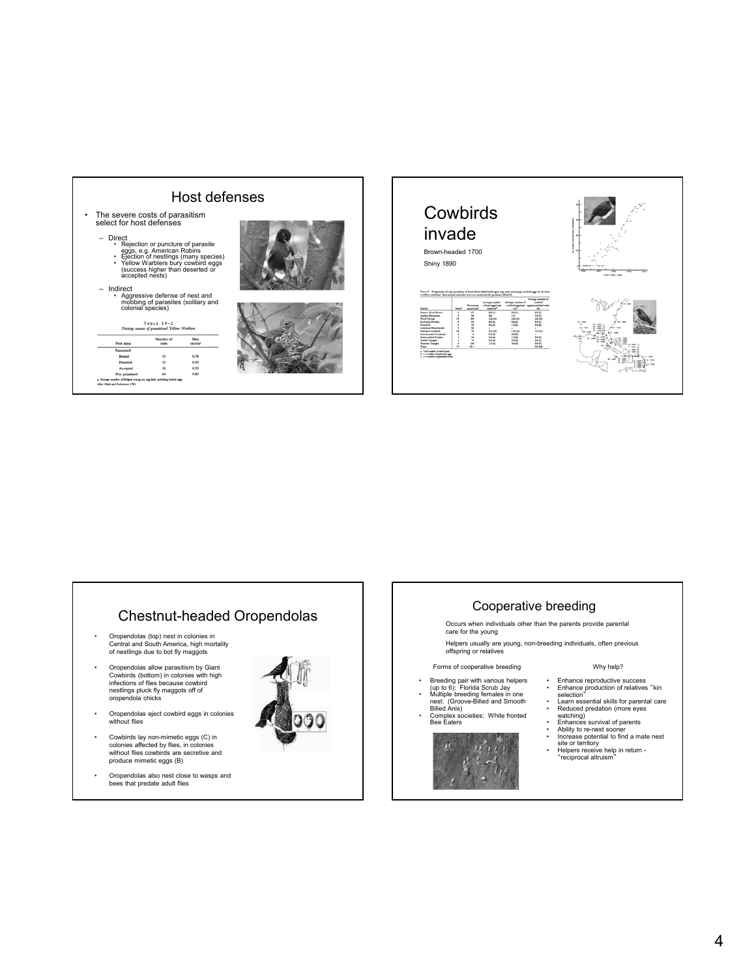

## Chestnut-headed Oropendolas

- Oropendolas (top) nest in colonies in Central and South America, high mortality of nestlings due to bot fly maggots
- Oropendolas allow parasitism by Giant Cowbirds (bottom) in colonies with high infections of flies because cowbird nestlings pluck fly maggots off of oropendola chicks
- Oropendolas eject cowbird eggs in colonies without flies
- Cowbirds lay non-mimetic eggs (C) in colonies affected by flies, in colonies without flies cowbirds are secretive and produce mimetic eggs (B)
- Oropendolas also nest close to wasps and bees that predate adult flies



### Cooperative breeding

Occurs when individuals other than the parents provide parental care for the young

Helpers usually are young, non-breeding individuals, often previous offspring or relatives

### Forms of cooperative breeding

- 
- Breeding pair with various helpers (up to 6): Florida Scrub Jay Multiple breeding females in one nest: (Groove-Billed and Smooth Billed Anis)
- Complex societies: White fronted Bee Eaters



### Why help?

- Enhance reproductive success Enhance production of relatives "kin selection"
- 
- 
- 
- Learn essential akilis for parental care<br>
exploded predation (more eyes<br>
 Enhances survival of parents<br>
 Enhances survival of parents<br>
 Ability to re-nest sooner<br>
 Increase potential to find a mate nest<br>
site or terr
-